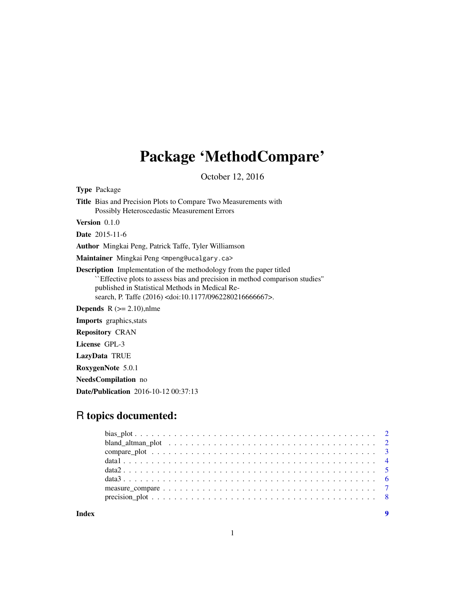## Package 'MethodCompare'

October 12, 2016

Type Package

Title Bias and Precision Plots to Compare Two Measurements with Possibly Heteroscedastic Measurement Errors

Version 0.1.0

Date 2015-11-6

Author Mingkai Peng, Patrick Taffe, Tyler Williamson

Maintainer Mingkai Peng <mpeng@ucalgary.ca>

Description Implementation of the methodology from the paper titled ``Effective plots to assess bias and precision in method comparison studies'' published in Statistical Methods in Medical Research, P. Taffe (2016) <doi:10.1177/0962280216666667>.

**Depends**  $R$  ( $>= 2.10$ ), nlme

Imports graphics,stats

Repository CRAN

License GPL-3

LazyData TRUE

RoxygenNote 5.0.1

NeedsCompilation no

Date/Publication 2016-10-12 00:37:13

### R topics documented:

**Index** [9](#page-8-0)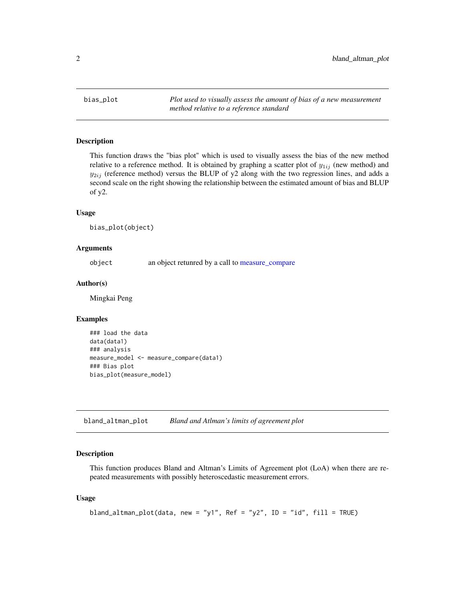<span id="page-1-0"></span>bias\_plot *Plot used to visually assess the amount of bias of a new measurement method relative to a reference standard*

#### Description

This function draws the "bias plot" which is used to visually assess the bias of the new method relative to a reference method. It is obtained by graphing a scatter plot of  $y_{1ij}$  (new method) and  $y_{2ij}$  (reference method) versus the BLUP of y2 along with the two regression lines, and adds a second scale on the right showing the relationship between the estimated amount of bias and BLUP of y2.

#### Usage

bias\_plot(object)

#### Arguments

object an object retunred by a call to [measure\\_compare](#page-6-1)

#### Author(s)

Mingkai Peng

#### Examples

```
### load the data
data(data1)
### analysis
measure_model <- measure_compare(data1)
### Bias plot
bias_plot(measure_model)
```
bland\_altman\_plot *Bland and Atlman's limits of agreement plot*

#### Description

This function produces Bland and Altman's Limits of Agreement plot (LoA) when there are repeated measurements with possibly heteroscedastic measurement errors.

#### Usage

```
bland_altman_plot(data, new = "y1", Ref = "y2", ID = "id", fill = TRUE)
```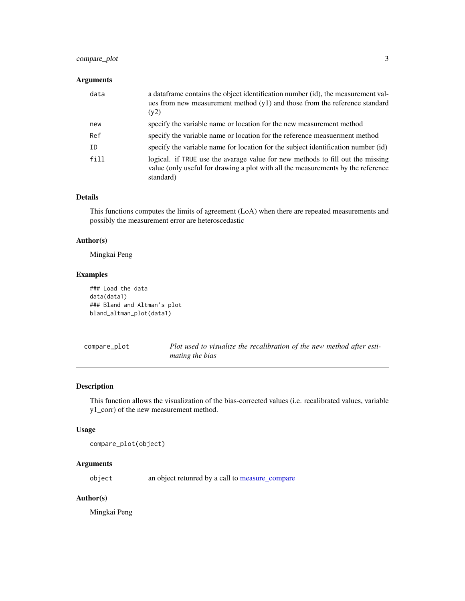#### <span id="page-2-0"></span>compare\_plot 3

#### Arguments

| data | a data frame contains the object identification number (id), the measurement val-<br>ues from new measurement method $(y1)$ and those from the reference standard<br>(y2)       |
|------|---------------------------------------------------------------------------------------------------------------------------------------------------------------------------------|
| new  | specify the variable name or location for the new measurement method                                                                                                            |
| Ref  | specify the variable name or location for the reference measuerment method                                                                                                      |
| ID   | specify the variable name for location for the subject identification number (id)                                                                                               |
| fill | logical. If TRUE use the avarage value for new methods to fill out the missing<br>value (only useful for drawing a plot with all the measurements by the reference<br>standard) |

#### Details

This functions computes the limits of agreement (LoA) when there are repeated measurements and possibly the measurement error are heteroscedastic

#### Author(s)

Mingkai Peng

#### Examples

```
### Load the data
data(data1)
### Bland and Altman's plot
bland_altman_plot(data1)
```
compare\_plot *Plot used to visualize the recalibration of the new method after estimating the bias*

#### Description

This function allows the visualization of the bias-corrected values (i.e. recalibrated values, variable y1\_corr) of the new measurement method.

#### Usage

```
compare_plot(object)
```
#### Arguments

object an object retunred by a call to [measure\\_compare](#page-6-1)

#### Author(s)

Mingkai Peng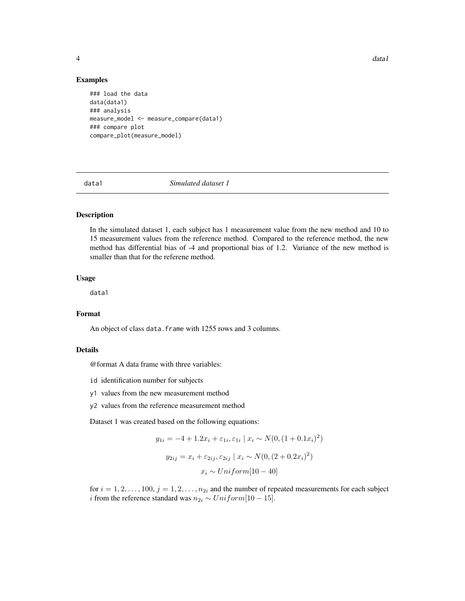4 data 1 da ta 1 da ta 1 da ta 1 da ta 1 da ta 1 da ta 1 da ta 1 da ta 1 da ta 1 da ta 1 da ta 1 da ta 1 da ta

#### Examples

```
### load the data
data(data1)
### analysis
measure_model <- measure_compare(data1)
### compare plot
compare_plot(measure_model)
```
data1 *Simulated dataset 1*

#### Description

In the simulated dataset 1, each subject has 1 measurement value from the new method and 10 to 15 measurement values from the reference method. Compared to the reference method, the new method has differential bias of -4 and proportional bias of 1.2. Variance of the new method is smaller than that for the referene method.

#### Usage

data1

#### Format

An object of class data. frame with 1255 rows and 3 columns.

#### Details

@format A data frame with three variables:

- id identification number for subjects
- y1 values from the new measurement method
- y2 values from the reference measurement method

Dataset 1 was created based on the following equations:

$$
y_{1i} = -4 + 1.2x_i + \varepsilon_{1i}, \varepsilon_{1i} \mid x_i \sim N(0, (1 + 0.1x_i)^2)
$$

$$
y_{2ij} = x_i + \varepsilon_{2ij}, \varepsilon_{2ij} \mid x_i \sim N(0, (2 + 0.2x_i)^2)
$$

$$
x_i \sim Uniform[10 - 40]
$$

for  $i = 1, 2, \ldots, 100, j = 1, 2, \ldots, n_{2i}$  and the number of repeated measurements for each subject *i* from the reference standard was  $n_{2i} \sim Uniform[10 - 15]$ .

<span id="page-3-0"></span>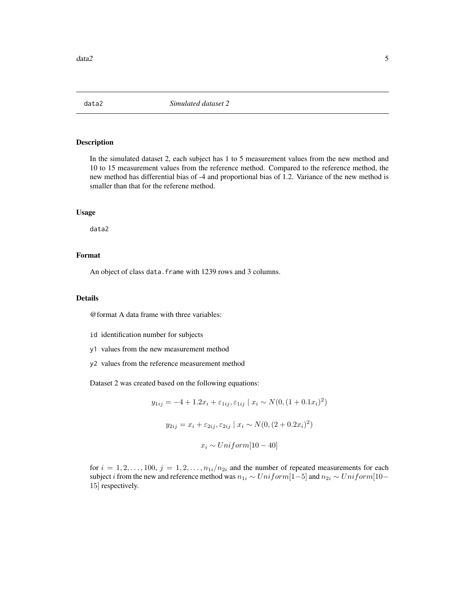<span id="page-4-0"></span>

#### Description

In the simulated dataset 2, each subject has 1 to 5 measurement values from the new method and 10 to 15 measurement values from the reference method. Compared to the reference method, the new method has differential bias of -4 and proportional bias of 1.2. Variance of the new method is smaller than that for the referene method.

#### Usage

data2

#### Format

An object of class data. frame with 1239 rows and 3 columns.

#### Details

@format A data frame with three variables:

- id identification number for subjects
- y1 values from the new measurement method
- y2 values from the reference measurement method

Dataset 2 was created based on the following equations:

$$
y_{1ij} = -4 + 1.2x_i + \varepsilon_{1ij}, \varepsilon_{1ij} \mid x_i \sim N(0, (1 + 0.1x_i)^2)
$$
  

$$
y_{2ij} = x_i + \varepsilon_{2ij}, \varepsilon_{2ij} \mid x_i \sim N(0, (2 + 0.2x_i)^2)
$$
  

$$
x_i \sim Uniform[10 - 40]
$$

for  $i = 1, 2, \ldots, 100, j = 1, 2, \ldots, n_{1i}/n_{2i}$  and the number of repeated measurements for each subject *i* from the new and reference method was  $n_{1i} \sim Uniform[1-5]$  and  $n_{2i} \sim Uniform[10-$ 15] respectively.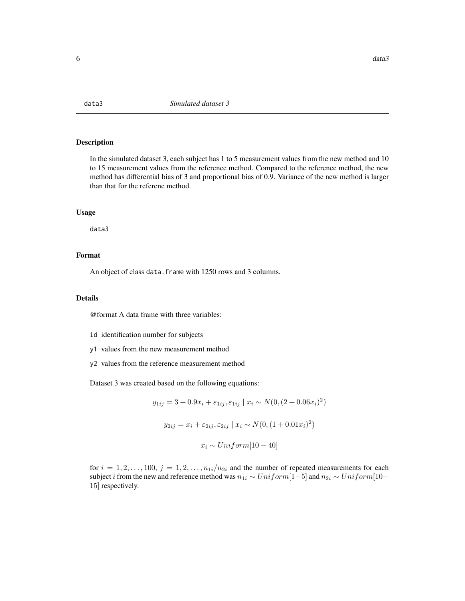<span id="page-5-0"></span>

#### Description

In the simulated dataset 3, each subject has 1 to 5 measurement values from the new method and 10 to 15 measurement values from the reference method. Compared to the reference method, the new method has differential bias of 3 and proportional bias of 0.9. Variance of the new method is larger than that for the referene method.

#### Usage

data3

#### Format

An object of class data. frame with 1250 rows and 3 columns.

#### Details

@format A data frame with three variables:

- id identification number for subjects
- y1 values from the new measurement method
- y2 values from the reference measurement method

Dataset 3 was created based on the following equations:

$$
y_{1ij} = 3 + 0.9x_i + \varepsilon_{1ij}, \varepsilon_{1ij} \mid x_i \sim N(0, (2 + 0.06x_i)^2)
$$

$$
y_{2ij} = x_i + \varepsilon_{2ij}, \varepsilon_{2ij} \mid x_i \sim N(0, (1 + 0.01x_i)^2)
$$

$$
x_i \sim Uniform[10 - 40]
$$

for  $i = 1, 2, \ldots, 100, j = 1, 2, \ldots, n_{1i}/n_{2i}$  and the number of repeated measurements for each subject *i* from the new and reference method was  $n_{1i} \sim Uniform[1-5]$  and  $n_{2i} \sim Uniform[10-$ 15] respectively.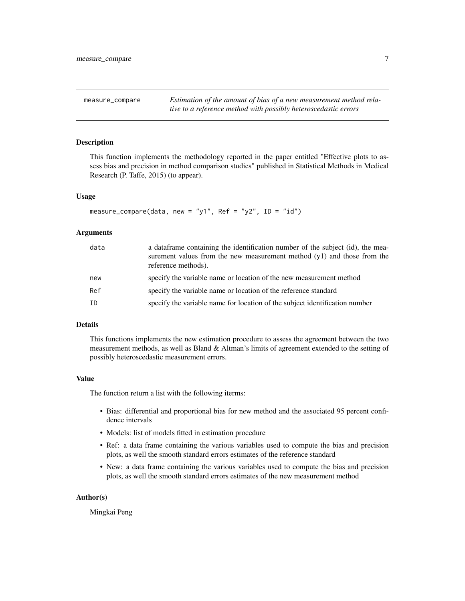<span id="page-6-1"></span><span id="page-6-0"></span>measure\_compare *Estimation of the amount of bias of a new measurement method relative to a reference method with possibly heteroscedastic errors*

#### Description

This function implements the methodology reported in the paper entitled "Effective plots to assess bias and precision in method comparison studies" published in Statistical Methods in Medical Research (P. Taffe, 2015) (to appear).

#### Usage

```
measure_compare(data, new = "y1", Ref = "y2", ID = "id")
```
#### Arguments

| data | a data frame containing the identification number of the subject (id), the mea-<br>surement values from the new measurement method $(y1)$ and those from the<br>reference methods). |
|------|-------------------------------------------------------------------------------------------------------------------------------------------------------------------------------------|
| new  | specify the variable name or location of the new measurement method                                                                                                                 |
| Ref  | specify the variable name or location of the reference standard                                                                                                                     |
| ID   | specify the variable name for location of the subject identification number                                                                                                         |

#### Details

This functions implements the new estimation procedure to assess the agreement between the two measurement methods, as well as Bland & Altman's limits of agreement extended to the setting of possibly heteroscedastic measurement errors.

#### Value

The function return a list with the following iterms:

- Bias: differential and proportional bias for new method and the associated 95 percent confidence intervals
- Models: list of models fitted in estimation procedure
- Ref: a data frame containing the various variables used to compute the bias and precision plots, as well the smooth standard errors estimates of the reference standard
- New: a data frame containing the various variables used to compute the bias and precision plots, as well the smooth standard errors estimates of the new measurement method

#### Author(s)

Mingkai Peng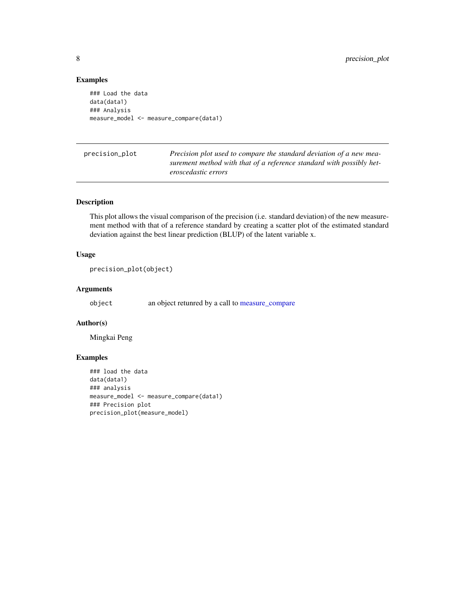#### Examples

```
### Load the data
data(data1)
### Analysis
measure_model <- measure_compare(data1)
```
precision\_plot *Precision plot used to compare the standard deviation of a new measurement method with that of a reference standard with possibly heteroscedastic errors*

#### Description

This plot allows the visual comparison of the precision (i.e. standard deviation) of the new measurement method with that of a reference standard by creating a scatter plot of the estimated standard deviation against the best linear prediction (BLUP) of the latent variable x.

#### Usage

```
precision_plot(object)
```
#### Arguments

object an object retunred by a call to [measure\\_compare](#page-6-1)

#### Author(s)

Mingkai Peng

#### Examples

```
### load the data
data(data1)
### analysis
measure_model <- measure_compare(data1)
### Precision plot
precision_plot(measure_model)
```
<span id="page-7-0"></span>